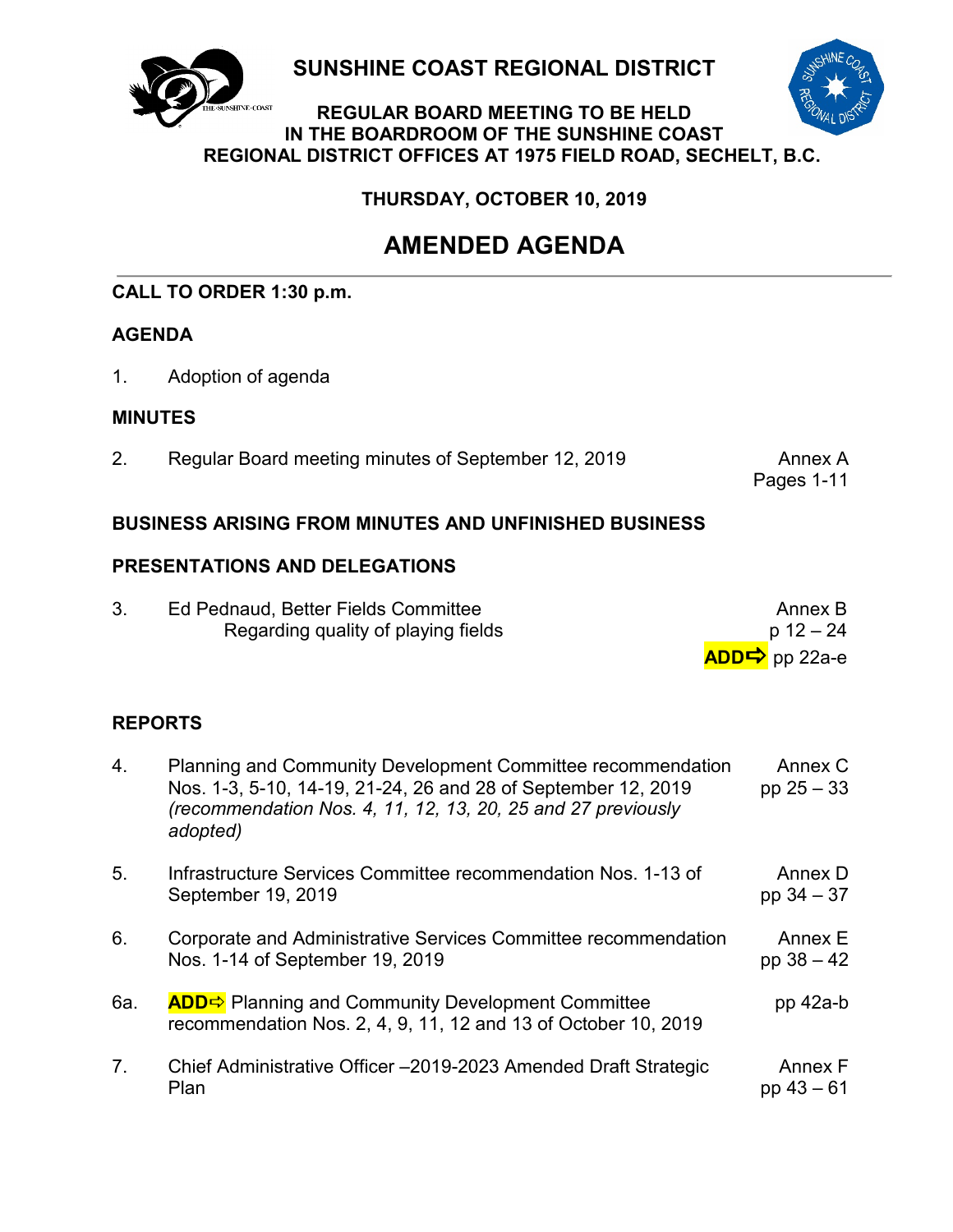

**SUNSHINE COAST REGIONAL DISTRICT**



### **REGULAR BOARD MEETING TO BE HELD IN THE BOARDROOM OF THE SUNSHINE COAST REGIONAL DISTRICT OFFICES AT 1975 FIELD ROAD, SECHELT, B.C.**

**THURSDAY, OCTOBER 10, 2019**

## **AMENDED AGENDA**

## **CALL TO ORDER 1:30 p.m.**

## **AGENDA**

1. Adoption of agenda

## **MINUTES**

2. Regular Board meeting minutes of September 12, 2019 Annex A

Pages 1-11

## **BUSINESS ARISING FROM MINUTES AND UNFINISHED BUSINESS**

## **PRESENTATIONS AND DELEGATIONS**

| Ed Pednaud, Better Fields Committee | Annex B                    |
|-------------------------------------|----------------------------|
| Regarding quality of playing fields | p 12 – 24                  |
|                                     | ADD $\Rightarrow$ pp 22a-e |

## **REPORTS**

| 4.             | Planning and Community Development Committee recommendation<br>Nos. 1-3, 5-10, 14-19, 21-24, 26 and 28 of September 12, 2019<br>(recommendation Nos. 4, 11, 12, 13, 20, 25 and 27 previously<br>adopted) | Annex C<br>pp $25 - 33$ |
|----------------|----------------------------------------------------------------------------------------------------------------------------------------------------------------------------------------------------------|-------------------------|
| 5 <sub>1</sub> | Infrastructure Services Committee recommendation Nos. 1-13 of<br>September 19, 2019                                                                                                                      | Annex D<br>pp $34 - 37$ |
| 6.             | Corporate and Administrative Services Committee recommendation<br>Nos. 1-14 of September 19, 2019                                                                                                        | Annex E<br>pp $38 - 42$ |
| 6a.            | <b>ADD</b> Planning and Community Development Committee<br>recommendation Nos. 2, 4, 9, 11, 12 and 13 of October 10, 2019                                                                                | $pp$ 42a-b              |
| 7 <sub>1</sub> | Chief Administrative Officer -2019-2023 Amended Draft Strategic<br>Plan                                                                                                                                  | Annex F<br>pp $43 - 61$ |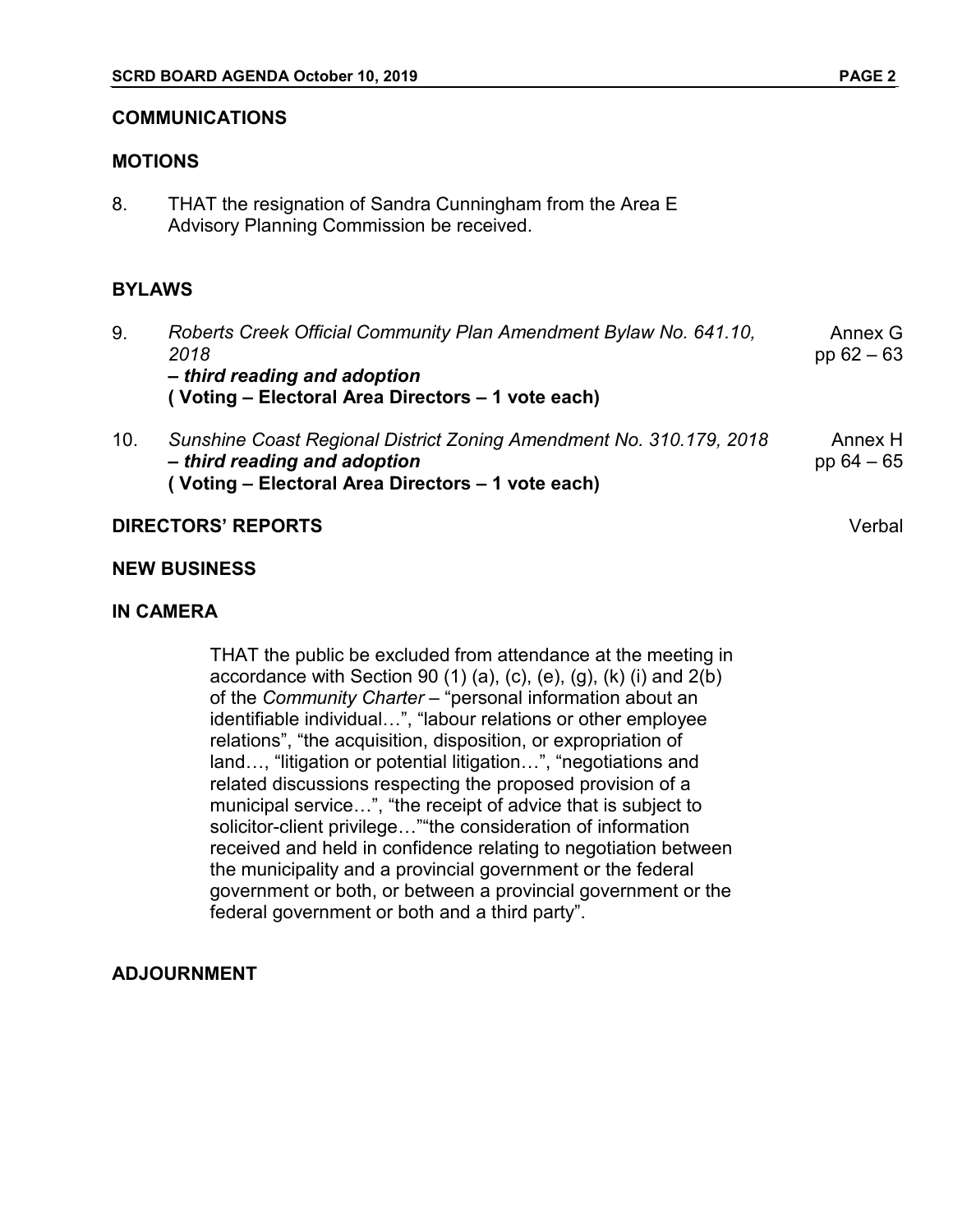#### **COMMUNICATIONS**

#### **MOTIONS**

8. THAT the resignation of Sandra Cunningham from the Area E Advisory Planning Commission be received.

#### **BYLAWS**

- 9. *Roberts Creek Official Community Plan Amendment Bylaw No. 641.10, 2018 – third reading and adoption* **( Voting – Electoral Area Directors – 1 vote each)** Annex G pp 62 – 63 10. *Sunshine Coast Regional District Zoning Amendment No. 310.179, 2018* Annex H
- *– third reading and adoption* **( Voting – Electoral Area Directors – 1 vote each)** pp 64 – 65

#### **DIRECTORS' REPORTS** Verbal

#### **NEW BUSINESS**

#### **IN CAMERA**

THAT the public be excluded from attendance at the meeting in accordance with Section 90  $(1)$   $(a)$ ,  $(c)$ ,  $(e)$ ,  $(g)$ ,  $(k)$   $(i)$  and  $2(b)$ of the *Community Charter* – "personal information about an identifiable individual…", "labour relations or other employee relations", "the acquisition, disposition, or expropriation of land…, "litigation or potential litigation…", "negotiations and related discussions respecting the proposed provision of a municipal service…", "the receipt of advice that is subject to solicitor-client privilege…""the consideration of information received and held in confidence relating to negotiation between the municipality and a provincial government or the federal government or both, or between a provincial government or the federal government or both and a third party".

#### **ADJOURNMENT**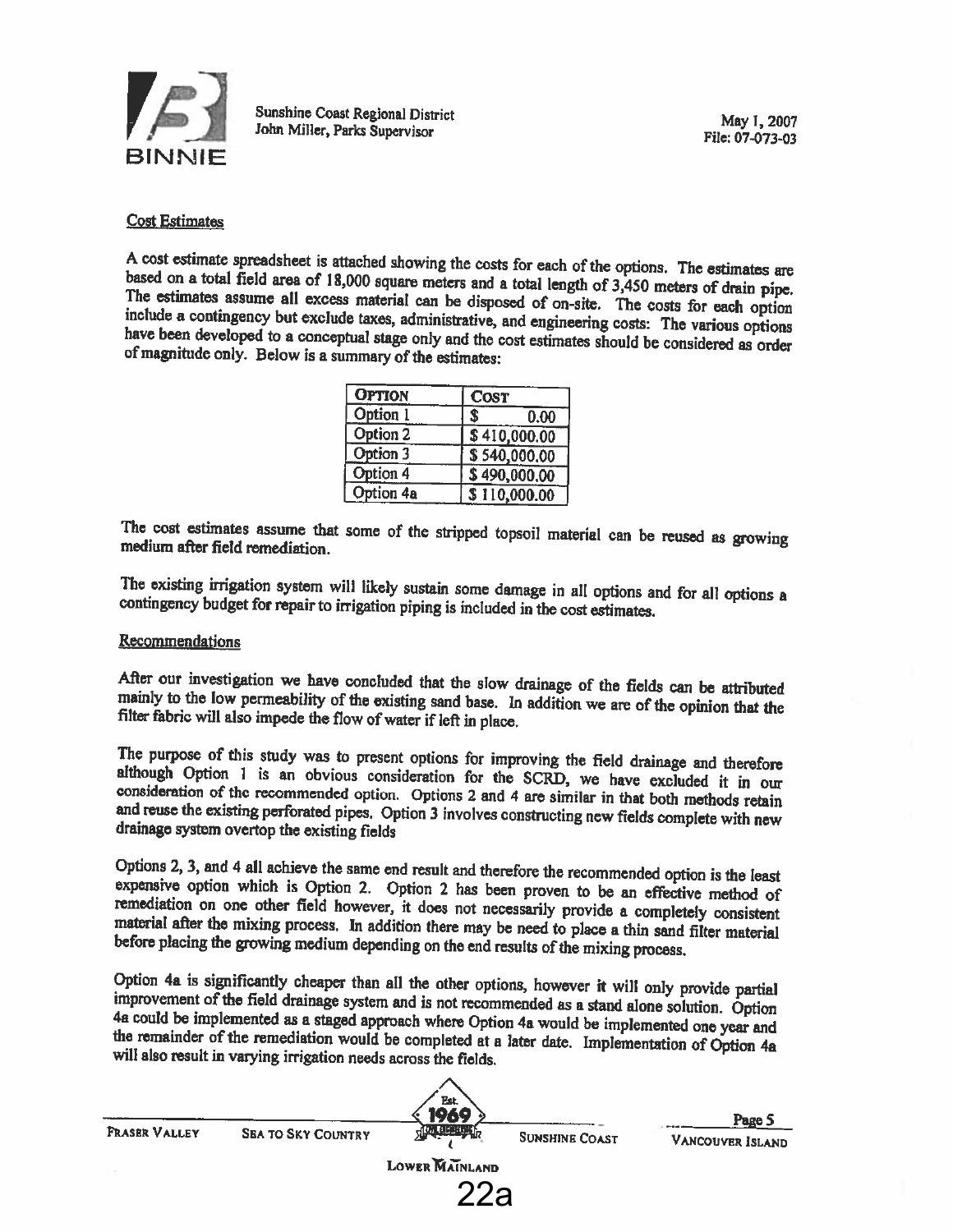

#### Cost Estimates

A cost estimate spreadsheet is attached showing the costs for each of the options. The estimates are based on a total field area of 18,000 square meters and a total length of 3,450 meters of drain pipe. The estimates assum

| <b>OPTION</b> | <b>COST</b>  |  |
|---------------|--------------|--|
| Option 1      | S<br>0.00    |  |
| Option 2      | \$410,000.00 |  |
| Option 3      | \$540,000,00 |  |
| Option 4      | \$490,000.00 |  |
| Option 4a     | \$110,000.00 |  |

The cost estimates assume that some of the stripped topsail material can be reused as growing medium after field remediation.

The existing irrigation system will likely sustain some damage in all options and for all options <sup>a</sup> contingency budget for repair to irrigation <sup>p</sup>iping is included in the cost estimates.

#### Recommendations

After our investigation we have concluded that the slow drainage of the fields can be attributed mainly to the low permeability of the existing sand base. In addition we are of the opinion that the filter fabric will also

The purpose of this study was to present options for improving the field drainage and therefore although Option 1 is an obvious consideration for the SCRD, we have excluded it in our consideration of the recommended option

Options 2, 3, and 4 all achieve the same end result and therefore the recommended option is the least expensive option which is Option 2. Option 2 has been proven to be an effective method of remediation on one other field

Option 4a is significantly cheaper than all the other options, however it will only provide partial improvement of the field drainage system and is not recommended as a stand alone solution. Option 4a could be implemented

|               |                           | Est.<br>169        |                       | Page 5           |
|---------------|---------------------------|--------------------|-----------------------|------------------|
| FRASER VALLEY | <b>SEA TO SKY COUNTRY</b> | <b>HIM BEAKERY</b> | <b>SUNSHINE COAST</b> | VANCOUVER ISLAND |
|               |                           | LOWER MAINLAND     |                       |                  |
|               |                           | ററ                 |                       |                  |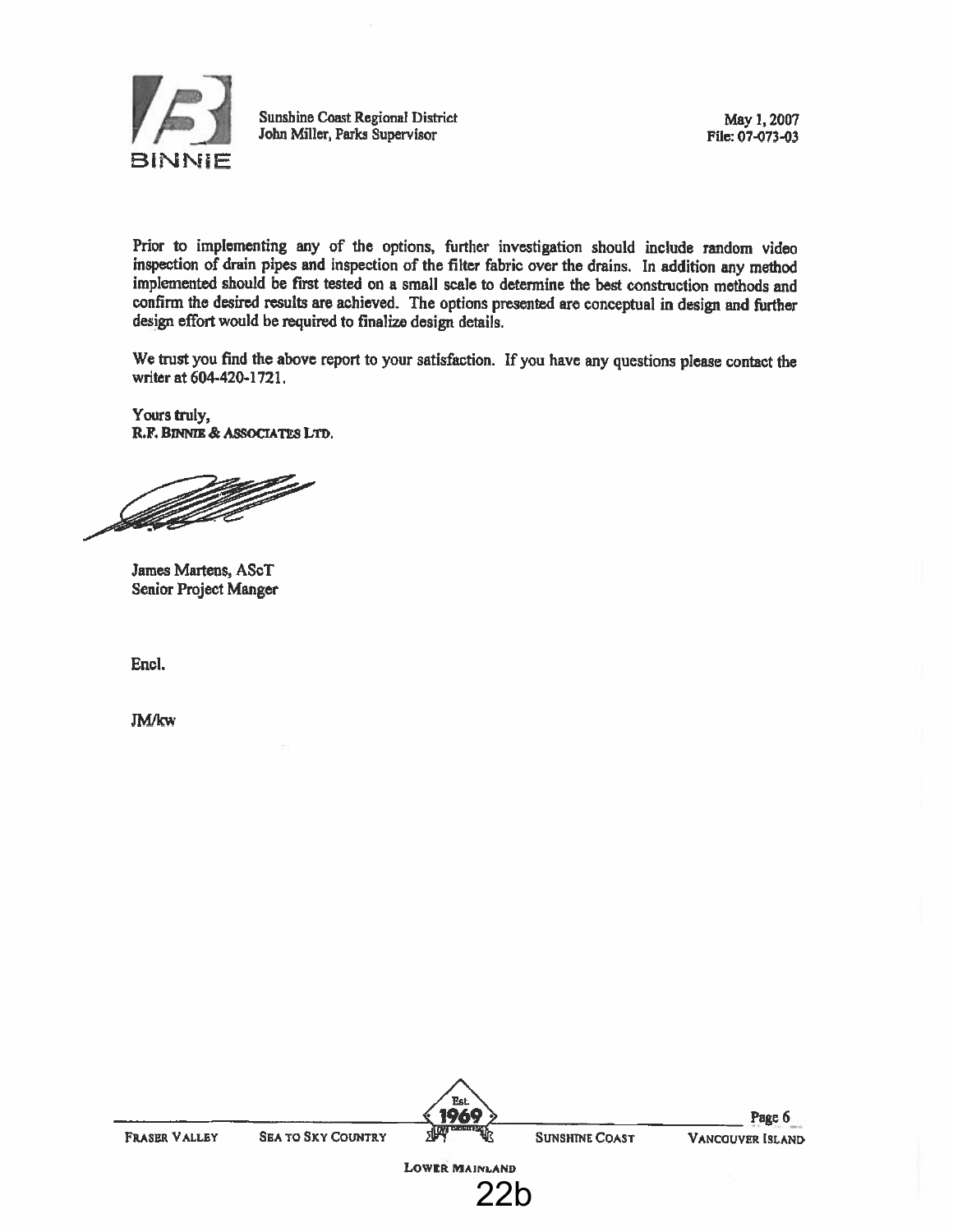

Sunshine CoastSunshine Coast Regional District May 1, 2007<br>
John Miller, Parks Supervisor File: 07-073-03

Prior to implementing any of the options, further investigation should include random video inspection of drain <sup>p</sup>ipes and inspection of the filter fabric over the drains. In addition any method implemented should be first tested on <sup>a</sup> small scale to determine the best construction methods and confirm the desired results are achieved. The options presented are conceptual in design and fiwther design effort would be required to finalize design details.

We trust you find the above repor<sup>t</sup> to your satisfaction. If you have any questions <sup>p</sup>lease contact the writer at 604-420.-I 721.

Yours truly, R.F. BmNIE & ASSOCIATES LTD,

<u>fille</u>d a

James Martens, AScT Senior Project Manger

End.

**JM/kw** 

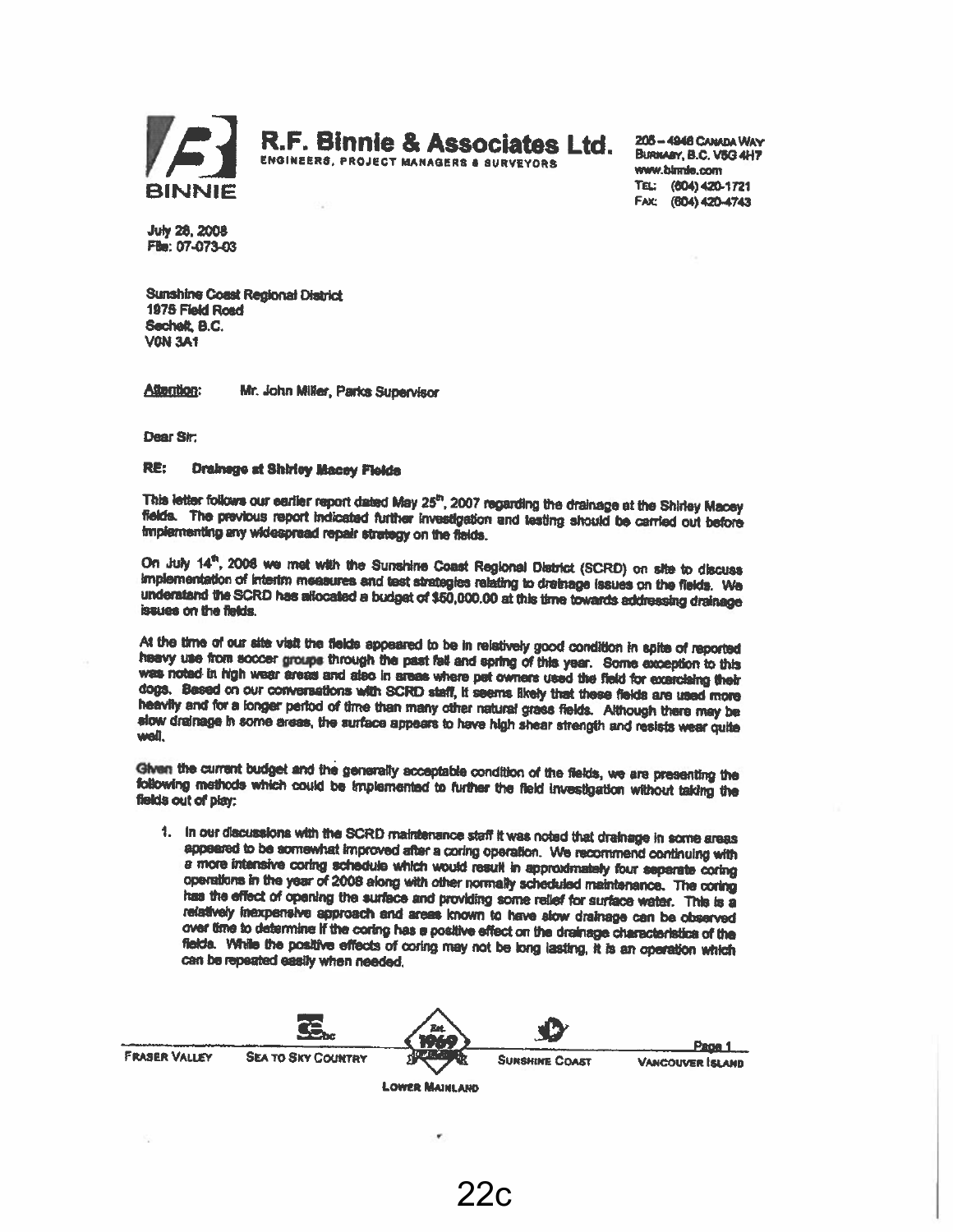

R.F. Binnie & Associates Ltd.

205-4946 CAMADA WAY ENGINEERS, PROJECT MANAGERS & SURVEYORS ELLE BURNARY, B.C. V5G 4H7<br>BINNIE TEL: (604) 420-1721  $\mathbf{BINNIE} \hspace{1.5cm} \begin{array}{ccc} 7 \, \text{E} & \text{(004) 420-1721} \ \text{Fax} & \text{(604) 420-4743} \end{array}$ 

July 28. 2003 fle; 07-073-OS

Sunshine Coast Regional District 1975 Field Road Secheft. B.C. **VON 3A1** 

Attention: Mr. John Miller, Parks Supervisor

Dear Sir

#### RE: Drainage at Shirley Macey Fields

This letter follows our earlier report dated May 25<sup>th</sup>, 2007 regarding the drainage at the Shirley Macey fields. The previous report indicated further investigation and testing should be carried out before implementing an

On July 14<sup>th</sup>, 2008 we met with the Sunshine Coast Regional District (SCRD) on site to discuss<br>implementation of interim measures and test strategies relating to drainage (ssues on the fields. We<br>underatand the SCRD has a

At the time of our alte visit the fields appeared to be in relatively good condition in spite of reported<br>heavy use from soccer groups through the past fall and spring of this year. Some exception to this<br>was noted in high

Given the current budget and the generally acceptable condition of the fields, we are presenting the following methods which could be Implemented to further the field investigation without taiding the fields out of play:

1. In our discussions with the SCRD maintenance staff it was noted that drainage in some areas appeared to be somewhat improved after a coring operation. We recommend continuing with a more intensive coring schedule which over time to determine If the coring has a positive effect on the drainage characteristics of the<br>fields. While the positive effects of coring may not be long lasting, It is an operation which can be repeated easily when needed.



22 c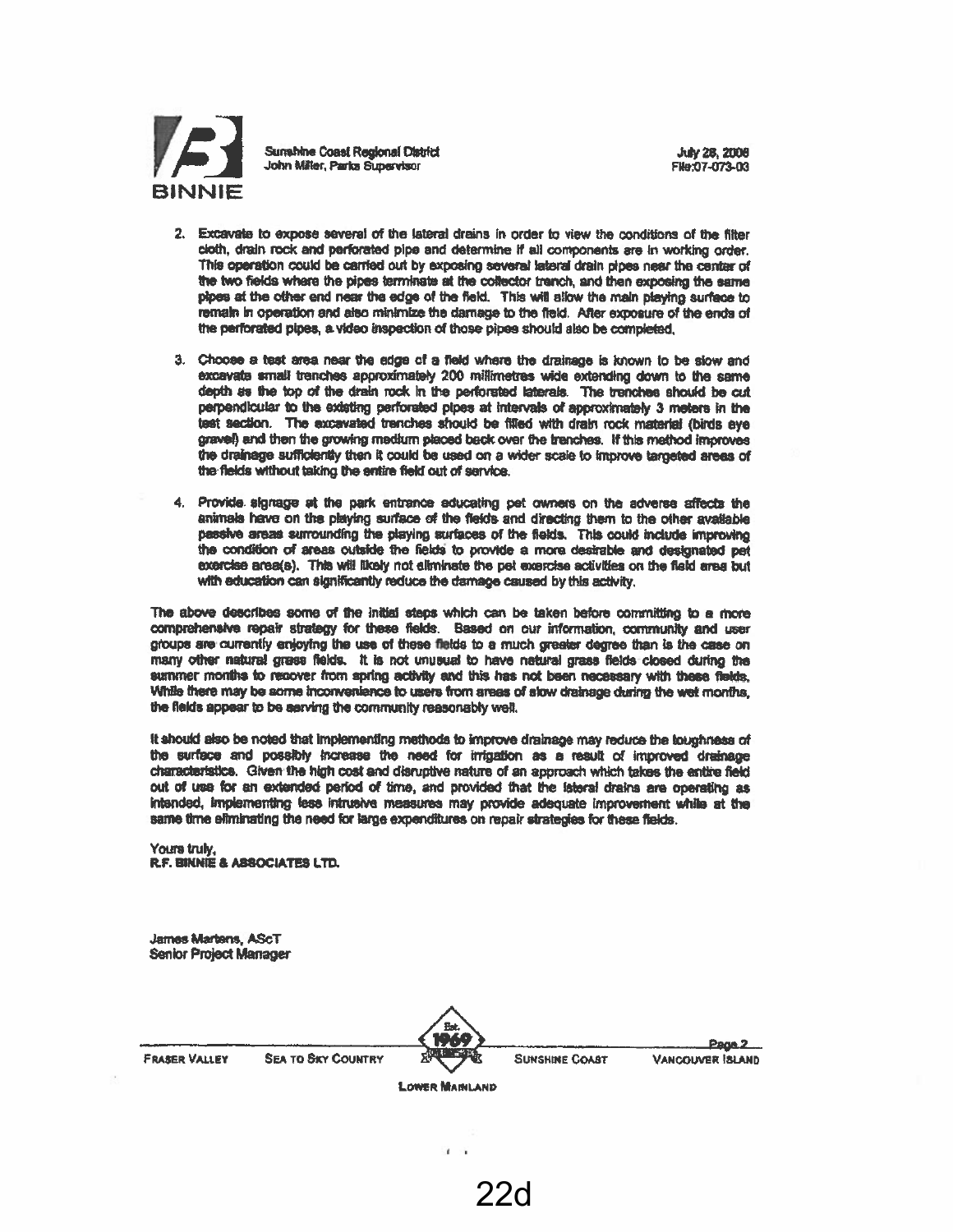

- 2. Excavate to expose several of the lateral drains in order to view the conditions of the filter Cloth, drain rock and perforated pipe and determine If all components are In working order. This operation could be canted out by exposing several lateral drain <sup>p</sup>ipes nest the center of the two fields where the pipes terminate at the collector trench, and then exposing the same pipes at the other end near the edge of the field. This will sllow the main playing surface to remain in operation and also minimize the damage to the field. Alter exposure of the ends of the perforated <sup>p</sup>ipes, a. video inspection of those <sup>p</sup>ipes should also be completed.
- 3. Choose <sup>a</sup> test area near the edge of <sup>a</sup> field where the drainage is known to be slow end excavate small trenches approximately 200 millimetres wide extending down to the same depth as the top of the drain rock in the perforated laterals. The tranches should be cut perpendicular to the existing perforated pipes at intervals of approximately 3 meters in the test section. The excavated trenches should be filled with drain rock material (birds eye gravel) and then the growing medium <sup>p</sup>leced beck over the trenches. If this method improves the drainage sufficiently then it could be used on a wider scale to improve targeted areas of the fields without taking the entire field out of service
- 4. Provide signage at the park entrance educating pet owners on the adverse affects the animals have on the playing surface of the fields and directing them to the other available paesive areas surrounding the playing surfaces of the fields. This could include improving the condition of areas outside the fields to provide a more desirable and designated pet exercise area(s). This will likely not eliminate the pet exercise activities on the field area but with education can significantly reduce the damage caused by this activity

The above describes some of the initial steps which can be taken before committing to a more compietienslve repair strategy for these fields. Based on our information, ootnrnunity and user groups are currently enjoying the use of these fields to a much greater degree than is the case on many other natural grass fields. It is not unusual to have natural grass fields closed during the summer months to recover ftom spring activity and this has not been neceasary with these flelda While there may be some incriwenlence to users from areas of sw drainage during the wet months the fields appear to be serving the community reasonably well.

It should also be noted that Implementing methods to improve drainage may reduce the toughness of the surface and possllly Inaeaae the need for irrigation as <sup>a</sup> result of improved drainage characteristIcs. Given the high cost and disnjptive nature of an approach which takes the entlie field out of use for an extended period of time, and provided that the lateral drains are operating as Intended, implementing less Intrusive measures may provide adequate improvement while at the same time efiminating the need for large expenditures on repair strategies for these fields.

Yours truly. RF. BINNIE S ASSOCIATES LTD.

James Martens, AScT Senior Project Manager

|                      |                           | Est.                  |                       | Page 2          |
|----------------------|---------------------------|-----------------------|-----------------------|-----------------|
| <b>FRASER VALLEY</b> | <b>SEA TO SKY COUNTRY</b> | was the state         | <b>SUNSHINE COAST</b> | VANCOUVER SLAND |
|                      |                           | <b>LOWER MAINLAND</b> |                       |                 |

Î.

22d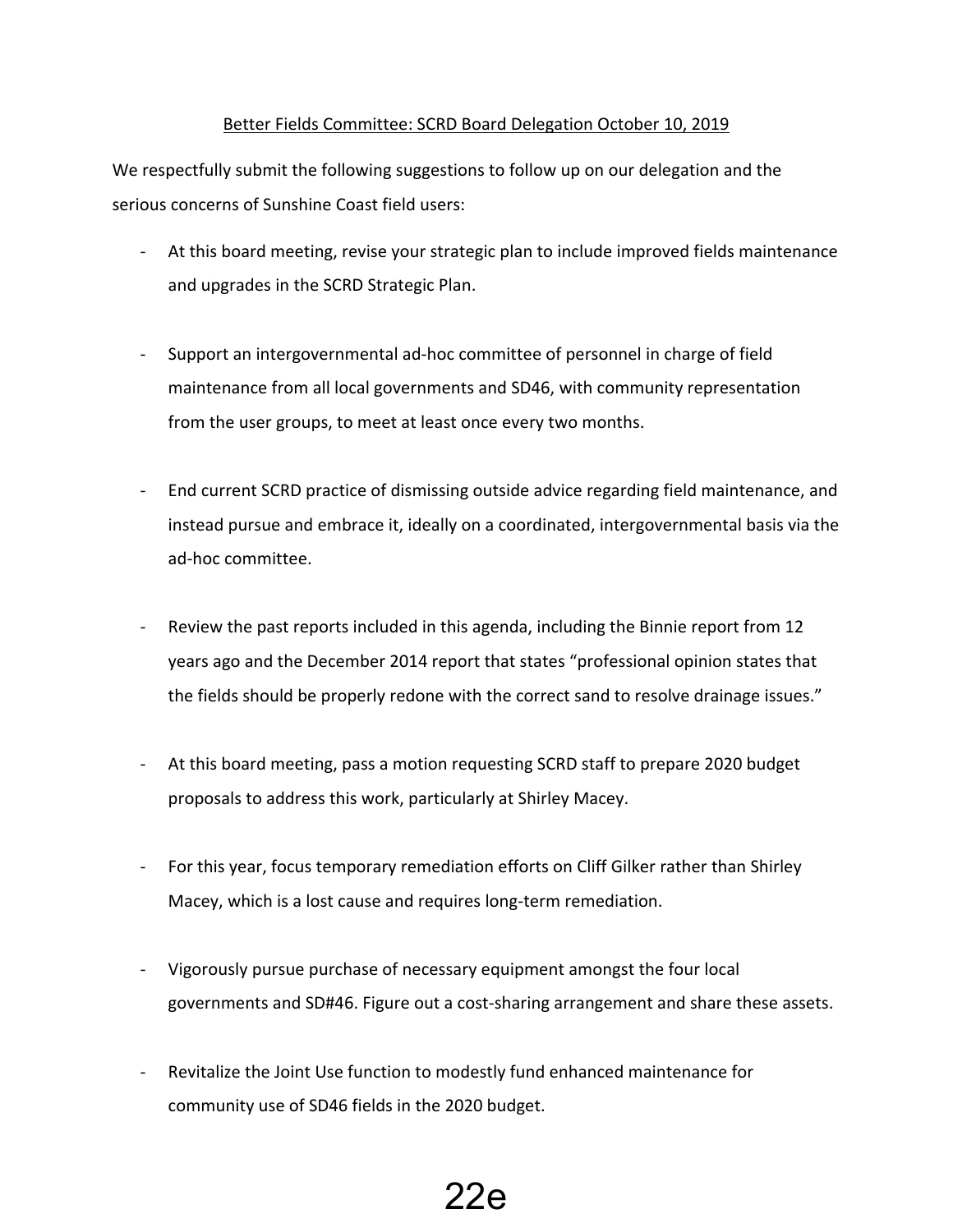#### Better Fields Committee: SCRD Board Delegation October 10, 2019

We respectfully submit the following suggestions to follow up on our delegation and the serious concerns of Sunshine Coast field users:

- At this board meeting, revise your strategic plan to include improved fields maintenance and upgrades in the SCRD Strategic Plan.
- Support an intergovernmental ad-hoc committee of personnel in charge of field maintenance from all local governments and SD46, with community representation from the user groups, to meet at least once every two months.
- End current SCRD practice of dismissing outside advice regarding field maintenance, and instead pursue and embrace it, ideally on a coordinated, intergovernmental basis via the ad-hoc committee.
- Review the past reports included in this agenda, including the Binnie report from 12 years ago and the December 2014 report that states "professional opinion states that the fields should be properly redone with the correct sand to resolve drainage issues."
- At this board meeting, pass a motion requesting SCRD staff to prepare 2020 budget proposals to address this work, particularly at Shirley Macey.
- For this year, focus temporary remediation efforts on Cliff Gilker rather than Shirley Macey, which is a lost cause and requires long-term remediation.
- Vigorously pursue purchase of necessary equipment amongst the four local governments and SD#46. Figure out a cost-sharing arrangement and share these assets.
- Revitalize the Joint Use function to modestly fund enhanced maintenance for community use of SD46 fields in the 2020 budget.

# 22e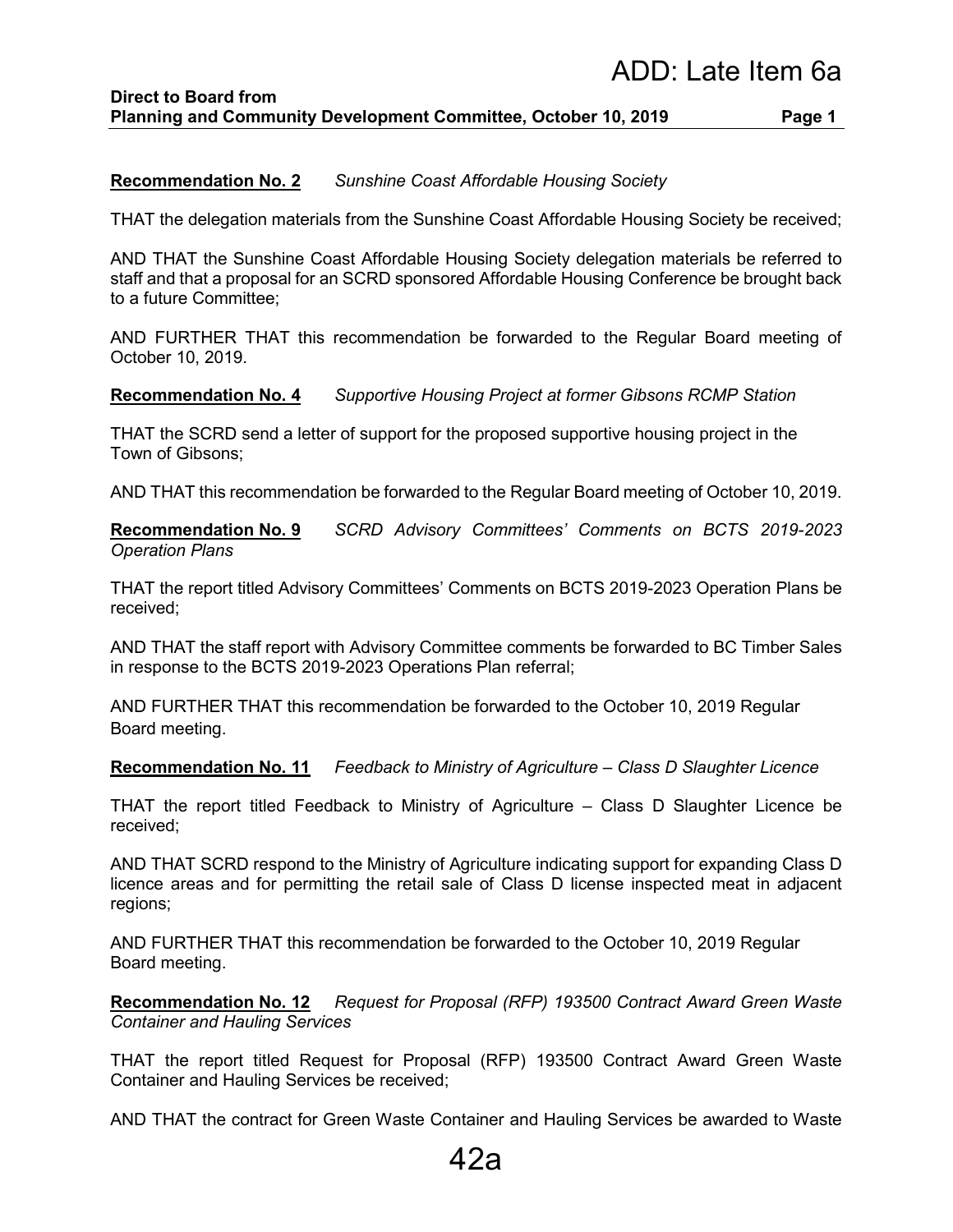#### **Recommendation No. 2** *Sunshine Coast Affordable Housing Society*

THAT the delegation materials from the Sunshine Coast Affordable Housing Society be received;

AND THAT the Sunshine Coast Affordable Housing Society delegation materials be referred to staff and that a proposal for an SCRD sponsored Affordable Housing Conference be brought back to a future Committee;

AND FURTHER THAT this recommendation be forwarded to the Regular Board meeting of October 10, 2019.

#### **Recommendation No. 4** *Supportive Housing Project at former Gibsons RCMP Station*

THAT the SCRD send a letter of support for the proposed supportive housing project in the Town of Gibsons;

AND THAT this recommendation be forwarded to the Regular Board meeting of October 10, 2019.

**Recommendation No. 9** *SCRD Advisory Committees' Comments on BCTS 2019-2023 Operation Plans*

THAT the report titled Advisory Committees' Comments on BCTS 2019-2023 Operation Plans be received;

AND THAT the staff report with Advisory Committee comments be forwarded to BC Timber Sales in response to the BCTS 2019-2023 Operations Plan referral;

AND FURTHER THAT this recommendation be forwarded to the October 10, 2019 Regular Board meeting.

**Recommendation No. 11** *Feedback to Ministry of Agriculture – Class D Slaughter Licence*

THAT the report titled Feedback to Ministry of Agriculture – Class D Slaughter Licence be received;

AND THAT SCRD respond to the Ministry of Agriculture indicating support for expanding Class D licence areas and for permitting the retail sale of Class D license inspected meat in adjacent regions;

AND FURTHER THAT this recommendation be forwarded to the October 10, 2019 Regular Board meeting.

**Recommendation No. 12** *Request for Proposal (RFP) 193500 Contract Award Green Waste Container and Hauling Services*

THAT the report titled Request for Proposal (RFP) 193500 Contract Award Green Waste Container and Hauling Services be received;

AND THAT the contract for Green Waste Container and Hauling Services be awarded to Waste